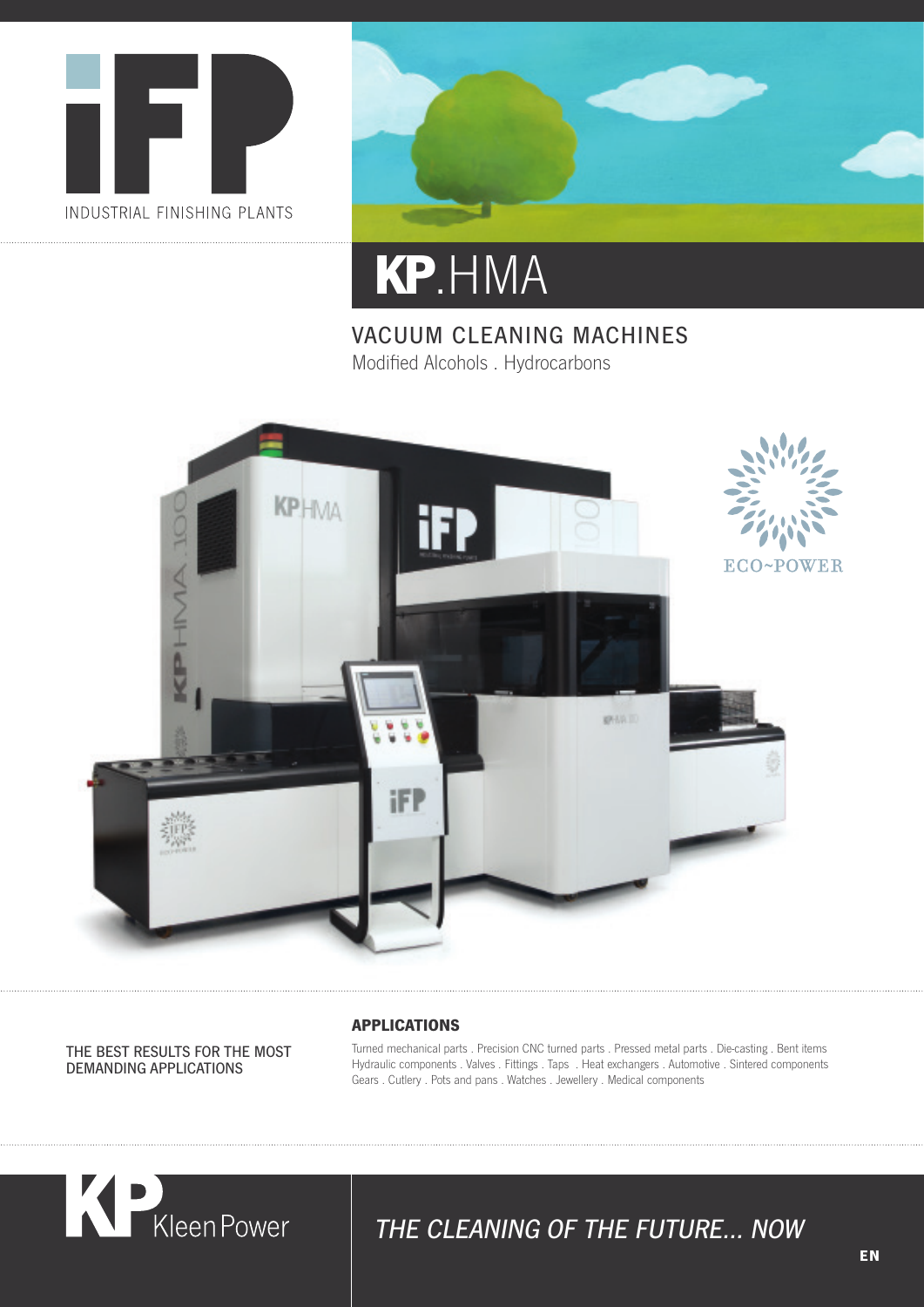



## **KP** .HMA

## VACUUM CLEANING MACHINES Modified Alcohols . Hydrocarbons



THE BEST RESULTS FOR THE MOST DEMANDING APPLICATIONS

#### **APPLICATIONS**

Turned mechanical parts . Precision CNC turned parts . Pressed metal parts . Die-casting . Bent items Hydraulic components . Valves . Fittings . Taps . Heat exchangers . Automotive . Sintered components Gears . Cutlery . Pots and pans . Watches . Jewellery . Medical components



## THE CLEANING OF THE FUTURE… NOW